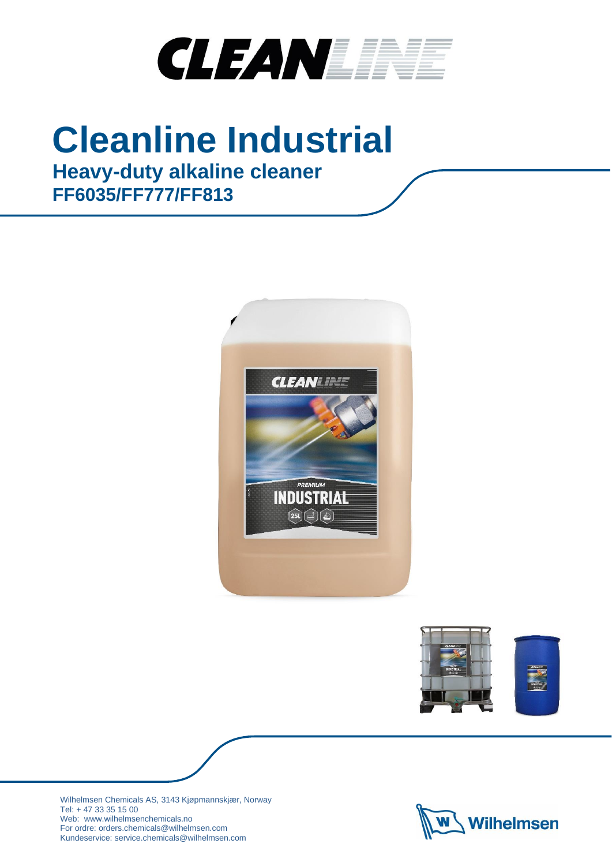

# **Cleanline Industrial**

# **Heavy-duty alkaline cleaner FF6035/FF777/FF813**







Wilhelmsen Chemicals AS, 3143 Kjøpmannskjær, Norway Tel: + 47 33 35 15 00 Web: www.wilhelmsenchemicals.no For ordre: orders.chemicals@wilhelmsen.com Kundeservice: service.chemicals@wilhelmsen.com